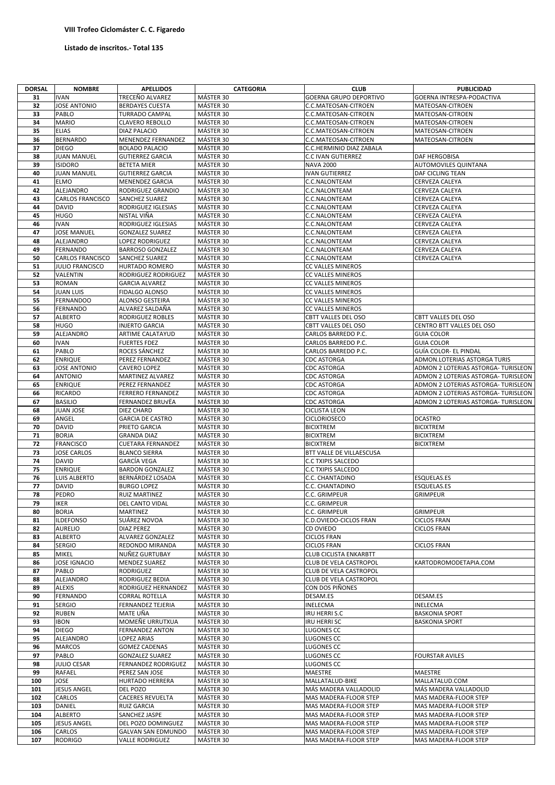## **VIII Trofeo Ciclomáster C. C. Figaredo**

## Listado de inscritos.- Total 135

| <b>DORSAL</b> | <b>NOMBRE</b>           | <b>APELLIDOS</b>           | <b>CATEGORIA</b> | <b>CLUB</b>                   | <b>PUBLICIDAD</b>                   |
|---------------|-------------------------|----------------------------|------------------|-------------------------------|-------------------------------------|
|               |                         |                            |                  |                               |                                     |
| 31            | <b>IVAN</b>             | TRECEÑO ALVAREZ            | MÁSTER 30        | <b>GOERNA GRUPO DEPORTIVO</b> | <b>GOERNA INTRESPA-PODACTIVA</b>    |
| 32            | <b>JOSE ANTONIO</b>     | <b>BERDAYES CUESTA</b>     | MÁSTER 30        | C.C.MATEOSAN-CITROEN          | MATEOSAN-CITROEN                    |
| 33            | PABLO                   | <b>TURRADO CAMPAL</b>      | MÁSTER 30        | C.C.MATEOSAN-CITROEN          | MATEOSAN-CITROEN                    |
| 34            | <b>MARIO</b>            | <b>CLAVERO REBOLLO</b>     | MÁSTER 30        | C.C.MATEOSAN-CITROEN          | MATEOSAN-CITROEN                    |
| 35            | <b>ELIAS</b>            | <b>DIAZ PALACIO</b>        | MÁSTER 30        | C.C.MATEOSAN-CITROEN          | MATEOSAN-CITROEN                    |
| 36            | <b>BERNARDO</b>         | MENENDEZ FERNANDEZ         | MÁSTER 30        | C.C.MATEOSAN-CITROEN          | MATEOSAN-CITROEN                    |
| 37            | <b>DIEGO</b>            | <b>BOLADO PALACIO</b>      | MÁSTER 30        | C.C.HERMINIO DIAZ ZABALA      |                                     |
| 38            | <b>JUAN MANUEL</b>      | <b>GUTIERREZ GARCIA</b>    | MÁSTER 30        | C.C IVAN GUTIERREZ            | DAF HERGOBISA                       |
| 39            | <b>ISIDORO</b>          | <b>BETETA MIER</b>         | MÁSTER 30        | <b>NAVA 2000</b>              | <b>AUTOMOVILES QUINTANA</b>         |
| 40            | <b>JUAN MANUEL</b>      | <b>GUTIERREZ GARCIA</b>    | MÁSTER 30        | <b>IVAN GUTIERREZ</b>         | DAF CICLING TEAN                    |
|               |                         |                            |                  |                               |                                     |
| 41            | <b>ELMO</b>             | <b>MENENDEZ GARCIA</b>     | MÁSTER 30        | C.C.NALONTEAM                 | CERVEZA CALEYA                      |
| 42            | ALEJANDRO               | RODRIGUEZ GRANDIO          | MÁSTER 30        | C.C.NALONTEAM                 | CERVEZA CALEYA                      |
| 43            | <b>CARLOS FRANCISCO</b> | <b>SANCHEZ SUAREZ</b>      | MÁSTER 30        | C.C.NALONTEAM                 | <b>CERVEZA CALEYA</b>               |
| 44            | <b>DAVID</b>            | <b>RODRIGUEZ IGLESIAS</b>  | MÁSTER 30        | C.C.NALONTEAM                 | CERVEZA CALEYA                      |
| 45            | <b>HUGO</b>             | NISTAL VIÑA                | MÁSTER 30        | C.C.NALONTEAM                 | CERVEZA CALEYA                      |
| 46            | <b>IVAN</b>             | <b>RODRIGUEZ IGLESIAS</b>  | MÁSTER 30        | C.C.NALONTEAM                 | CERVEZA CALEYA                      |
| 47            | <b>JOSE MANUEL</b>      | <b>GONZALEZ SUAREZ</b>     | MÁSTER 30        | C.C.NALONTEAM                 | CERVEZA CALEYA                      |
| 48            | ALEJANDRO               | <b>LOPEZ RODRIGUEZ</b>     | MÁSTER 30        | C.C.NALONTEAM                 | CERVEZA CALEYA                      |
| 49            | <b>FERNANDO</b>         | <b>BARROSO GONZALEZ</b>    | MÁSTER 30        | C.C.NALONTEAM                 | CERVEZA CALEYA                      |
| 50            | <b>CARLOS FRANCISCO</b> | <b>SANCHEZ SUAREZ</b>      | MÁSTER 30        | C.C.NALONTEAM                 | CERVEZA CALEYA                      |
| 51            | <b>JULIO FRANCISCO</b>  | <b>HURTADO ROMERO</b>      | MÁSTER 30        | <b>CC VALLES MINEROS</b>      |                                     |
| 52            | VALENTIN                | RODRIGUEZ RODRIGUEZ        | MÁSTER 30        | <b>CC VALLES MINEROS</b>      |                                     |
| 53            | <b>ROMAN</b>            | <b>GARCIA ALVAREZ</b>      | MÁSTER 30        | CC VALLES MINEROS             |                                     |
| 54            | <b>JUAN LUIS</b>        | <b>FIDALGO ALONSO</b>      | MÁSTER 30        | CC VALLES MINEROS             |                                     |
|               |                         |                            |                  |                               |                                     |
| 55            | <b>FERNANDOO</b>        | ALONSO GESTEIRA            | MÁSTER 30        | CC VALLES MINEROS             |                                     |
| 56            | <b>FERNANDO</b>         | ALVAREZ SALDAÑA            | MÁSTER 30        | CC VALLES MINEROS             |                                     |
| 57            | <b>ALBERTO</b>          | <b>RODRIGUEZ ROBLES</b>    | MÁSTER 30        | CBTT VALLES DEL OSO           | CBTT VALLES DEL OSO                 |
| 58            | <b>HUGO</b>             | <b>INJERTO GARCIA</b>      | MÁSTER 30        | CBTT VALLES DEL OSO           | CENTRO BTT VALLES DEL OSO           |
| 59            | ALEJANDRO               | <b>ARTIME CALATAYUD</b>    | MÁSTER 30        | CARLOS BARREDO P.C.           | <b>GUIA COLOR</b>                   |
| 60            | <b>IVAN</b>             | <b>FUERTES FDEZ</b>        | MÁSTER 30        | CARLOS BARREDO P.C.           | <b>GUIA COLOR</b>                   |
| 61            | PABLO                   | ROCES SÁNCHEZ              | MÁSTER 30        | CARLOS BARREDO P.C.           | GUÍA COLOR- EL PINDAL               |
| 62            | <b>ENRIQUE</b>          | PEREZ FERNANDEZ            | MÁSTER 30        | <b>CDC ASTORGA</b>            | ADMON.LOTERIAS ASTORGA TURIS        |
| 63            | <b>JOSE ANTONIO</b>     | <b>CAVERO LOPEZ</b>        | MÁSTER 30        | <b>CDC ASTORGA</b>            | ADMON 2 LOTERIAS ASTORGA- TURISLEON |
| 64            | <b>ANTONIO</b>          | <b>MARTINEZ ALVAREZ</b>    | MÁSTER 30        | <b>CDC ASTORGA</b>            | ADMON 2 LOTERIAS ASTORGA- TURISLEON |
| 65            | <b>ENRIQUE</b>          | PEREZ FERNANDEZ            | MÁSTER 30        | <b>CDC ASTORGA</b>            | ADMON 2 LOTERIAS ASTORGA- TURISLEON |
| 66            | <b>RICARDO</b>          | <b>FERRERO FERNANDEZ</b>   | MÁSTER 30        | <b>CDC ASTORGA</b>            | ADMON 2 LOTERIAS ASTORGA- TURISLEON |
| 67            | <b>BASILIO</b>          | FERNANDEZ BRUVËA           | MÁSTER 30        | <b>CDC ASTORGA</b>            | ADMON 2 LOTERIAS ASTORGA- TURISLEON |
| 68            | <b>JUAN JOSE</b>        | <b>DIEZ CHARD</b>          | MÁSTER 30        | <b>CICLISTA LEON</b>          |                                     |
| 69            | ANGEL                   | <b>GARCIA DE CASTRO</b>    | MÁSTER 30        | <b>CICLORIOSECO</b>           | <b>DCASTRO</b>                      |
| 70            | <b>DAVID</b>            | <b>PRIETO GARCIA</b>       | MÁSTER 30        | <b>BICIXTREM</b>              | <b>BICIXTREM</b>                    |
| 71            | <b>BORJA</b>            | <b>GRANDA DIAZ</b>         | MÁSTER 30        | <b>BICIXTREM</b>              | <b>BICIXTREM</b>                    |
| 72            | <b>FRANCISCO</b>        | <b>CUETARA FERNANDEZ</b>   | MÁSTER 30        | <b>BICIXTREM</b>              | <b>BICIXTREM</b>                    |
| 73            | <b>JOSE CARLOS</b>      | <b>BLANCO SIERRA</b>       | MÁSTER 30        | BTT VALLE DE VILLAESCUSA      |                                     |
|               |                         |                            |                  |                               |                                     |
| 74            | <b>DAVID</b>            | <b>GARCÍA VEGA</b>         | MÁSTER 30        | <b>C.C TXIPIS SALCEDO</b>     |                                     |
| 75            | <b>ENRIQUE</b>          | <b>BARDON GONZALEZ</b>     | MÁSTER 30        | <b>C.C TXIPIS SALCEDO</b>     |                                     |
| 76            | LUIS ALBERTO            | BERNÁRDEZ LOSADA           | MÁSTER 30        | C.C. CHANTADINO               | <b>ESQUELAS.ES</b>                  |
| 77            | <b>DAVID</b>            | <b>BURGO LOPEZ</b>         | MÁSTER 30        | C.C. CHANTADINO               | ESQUELAS.ES                         |
| 78            | PEDRO                   | <b>RUIZ MARTINEZ</b>       | MÁSTER 30        | C.C. GRIMPEUR                 | <b>GRIMPEUR</b>                     |
| 79            | <b>IKER</b>             | <b>DEL CANTO VIDAL</b>     | MÁSTER 30        | C.C. GRIMPEUR                 |                                     |
| 80            | <b>BORJA</b>            | MARTINEZ                   | MÁSTER 30        | C.C. GRIMPEUR                 | <b>GRIMPEUR</b>                     |
| 81            | <b>ILDEFONSO</b>        | SUÁREZ NOVOA               | MÁSTER 30        | C.D.OVIEDO-CICLOS FRAN        | <b>CICLOS FRAN</b>                  |
| 82            | <b>AURELIO</b>          | <b>DIAZ PEREZ</b>          | MÁSTER 30        | CD OVIEDO                     | <b>CICLOS FRAN</b>                  |
| 83            | <b>ALBERTO</b>          | ALVAREZ GONZALEZ           | MÁSTER 30        | <b>CICLOS FRAN</b>            |                                     |
| 84            | <b>SERGIO</b>           | <b>REDONDO MIRANDA</b>     | MÁSTER 30        | <b>CICLOS FRAN</b>            | <b>CICLOS FRAN</b>                  |
| 85            | <b>MIKEL</b>            | NUÑEZ GURTUBAY             | MÁSTER 30        | <b>CLUB CICLISTA ENKARBTT</b> |                                     |
| 86            | <b>JOSE IGNACIO</b>     | <b>MENDEZ SUAREZ</b>       | MÁSTER 30        | CLUB DE VELA CASTROPOL        | KARTODROMODETAPIA.COM               |
| 87            | PABLO                   | RODRIGUEZ                  | MÁSTER 30        | CLUB DE VELA CASTROPOL        |                                     |
| 88            | ALEJANDRO               | <b>RODRIGUEZ BEDIA</b>     | MÁSTER 30        | CLUB DE VELA CASTROPOL        |                                     |
| 89            | <b>ALEXIS</b>           | <b>RODRIGUEZ HERNANDEZ</b> | MÁSTER 30        | CON DOS PIÑONES               |                                     |
| 90            | <b>FERNANDO</b>         | <b>CORRAL ROTELLA</b>      | MÁSTER 30        | DESAM.ES                      | <b>DESAM.ES</b>                     |
| 91            | <b>SERGIO</b>           | <b>FERNANDEZ TEJERIA</b>   | MÁSTER 30        | <b>INELECMA</b>               | <b>INELECMA</b>                     |
| 92            | <b>RUBEN</b>            | MATE UÑA                   | MÁSTER 30        | <b>IRU HERRI S.C</b>          | <b>BASKONIA SPORT</b>               |
| 93            | <b>IBON</b>             | MOMEÑE URRUTXUA            | MÁSTER 30        | <b>IRU HERRI SC</b>           | <b>BASKONIA SPORT</b>               |
| 94            | <b>DIEGO</b>            | <b>FERNANDEZ ANTON</b>     | MÁSTER 30        | LUGONES CC                    |                                     |
| 95            | ALEJANDRO               | LOPEZ ARIAS                | MÁSTER 30        | LUGONES CC                    |                                     |
| 96            | <b>MARCOS</b>           | <b>GOMEZ CADENAS</b>       | MÁSTER 30        | LUGONES CC                    |                                     |
| 97            | PABLO                   |                            |                  | LUGONES CC                    |                                     |
|               |                         | <b>GONZALEZ SUAREZ</b>     | MÁSTER 30        |                               | <b>FOURSTAR AVILES</b>              |
| 98            | <b>JULIO CESAR</b>      | <b>FERNANDEZ RODRIGUEZ</b> | MÁSTER 30        | LUGONES CC                    |                                     |
| 99            | <b>RAFAEL</b>           | PEREZ SAN JOSE             | MÁSTER 30        | MAESTRE                       | MAESTRE                             |
| 100           | JOSE                    | <b>HURTADO HERRERA</b>     | MÁSTER 30        | MALLATALUD-BIKE               | MALLATALUD.COM                      |
| 101           | <b>JESUS ANGEL</b>      | <b>DEL POZO</b>            | MÁSTER 30        | MÁS MADERA VALLADOLID         | MÁS MADERA VALLADOLID               |
| 102           | CARLOS                  | <b>CACERES REVUELTA</b>    | MÁSTER 30        | MAS MADERA-FLOOR STEP         | MAS MADERA-FLOOR STEP               |
| 103           | DANIEL                  | <b>RUIZ GARCIA</b>         | MÁSTER 30        | MAS MADERA-FLOOR STEP         | MAS MADERA-FLOOR STEP               |
| 104           | <b>ALBERTO</b>          | SANCHEZ JASPE              | MÁSTER 30        | MAS MADERA-FLOOR STEP         | MAS MADERA-FLOOR STEP               |
| 105           | <b>JESUS ANGEL</b>      | DEL POZO DOMINGUEZ         | MÁSTER 30        | MAS MADERA-FLOOR STEP         | MAS MADERA-FLOOR STEP               |
| 106           | CARLOS                  | <b>GALVAN SAN EDMUNDO</b>  | MÁSTER 30        | MAS MADERA-FLOOR STEP         | MAS MADERA-FLOOR STEP               |
| 107           | <b>RODRIGO</b>          | <b>VALLE RODRIGUEZ</b>     | MÁSTER 30        | MAS MADERA-FLOOR STEP         | MAS MADERA-FLOOR STEP               |